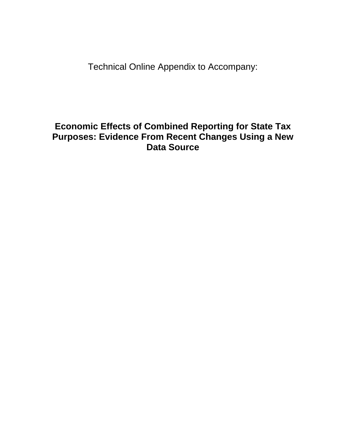Technical Online Appendix to Accompany:

### **Economic Effects of Combined Reporting for State Tax Purposes: Evidence From Recent Changes Using a New Data Source**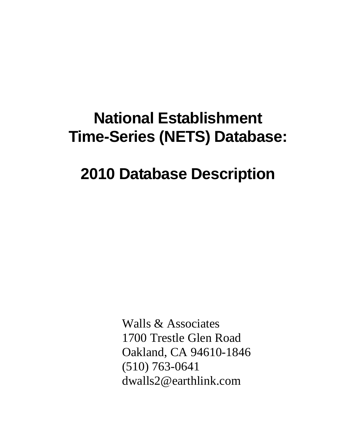# **National Establishment Time-Series (NETS) Database:**

## **2010 Database Description**

Walls & Associates 1700 Trestle Glen Road Oakland, CA 94610-1846 (510) 763-0641 dwalls2@earthlink.com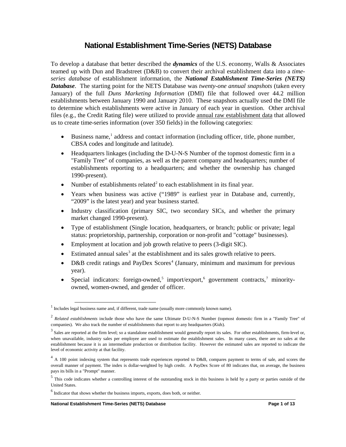#### **National Establishment Time-Series (NETS) Database**

To develop a database that better described the *dynamics* of the U.S. economy, Walls & Associates teamed up with Dun and Bradstreet (D&B) to convert their archival establishment data into a *timeseries database* of establishment information, the *National Establishment Time-Series (NETS) Database*. The starting point for the NETS Database was *twenty-one annual snapshots* (taken every January) of the full *Duns Marketing Information* (DMI) file that followed over 44.2 million establishments between January 1990 and January 2010. These snapshots actually used the DMI file to determine which establishments were active in January of each year in question. Other archival files (e.g., the Credit Rating file) were utilized to provide annual raw establishment data that allowed us to create time-series information (over 350 fields) in the following categories:

- Business name,<sup>[1](#page-2-0)</sup> address and contact information (including officer, title, phone number, CBSA codes and longitude and latitude).
- Headquarters linkages (including the D-U-N-S Number of the topmost domestic firm in a "Family Tree" of companies, as well as the parent company and headquarters; number of establishments reporting to a headquarters; and whether the ownership has changed 1990-present).
- Number of establishments related<sup>[2](#page-2-1)</sup> to each establishment in its final year.
- Years when business was active ("1989" is earliest year in Database and, currently, "2009" is the latest year) and year business started.
- Industry classification (primary SIC, two secondary SICs, and whether the primary market changed 1990-present).
- Type of establishment (Single location, headquarters, or branch; public or private; legal status: proprietorship, partnership, corporation or non-profit and "cottage" businesses).
- Employment at location and job growth relative to peers (3-digit SIC).
- Estimated annual sales<sup>[3](#page-2-2)</sup> at the establishment and its sales growth relative to peers.
- D&B credit ratings and PayDex Scores<sup>[4](#page-2-3)</sup> (January, minimum and maximum for previous year).
- Special indicators: foreign-owned,<sup>[5](#page-2-4)</sup> import/export,<sup>[6](#page-2-5)</sup> government contracts,<sup>[7](#page-2-6)</sup> minorityowned, women-owned, and gender of officer.

<span id="page-2-0"></span><sup>&</sup>lt;sup>1</sup> Includes legal business name and, if different, trade name (usually more commonly known name).

<span id="page-2-1"></span><sup>2</sup> *Related establishments* include those who have the same Ultimate D-U-N-S Number (topmost domestic firm in a "Family Tree" of companies). We also track the number of establishments that report to any headquarters (*Kids*).

<span id="page-2-2"></span> $3$  Sales are reported at the firm level; so a standalone establishment would generally report its sales. For other establishments, firm-level or, when unavailable, industry sales per employee are used to estimate the establishment sales. In many cases, there are no sales at the establishment because it is an intermediate production or distribution facility. However the estimated sales are reported to indicate the level of economic activity at that facility.

<span id="page-2-6"></span><span id="page-2-3"></span> $4$  A 100 point indexing system that represents trade experiences reported to D&B, compares payment to terms of sale, and scores the overall manner of payment. The index is dollar-weighted by high credit. A PayDex Score of 80 indicates that, on average, the business pays its bills in a "Prompt" manner.

<span id="page-2-4"></span><sup>&</sup>lt;sup>5</sup> This code indicates whether a controlling interest of the outstanding stock in this business is held by a party or parties outside of the United States.

<span id="page-2-5"></span> $<sup>6</sup>$  Indicator that shows whether the business imports, exports, does both, or neither.</sup>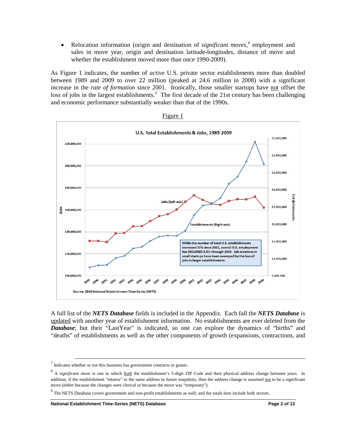• Relocation information (origin and destination of *significant moves*, [8](#page-3-0) employment and sales in move year, origin and destination latitude-longitudes, distance of move and whether the establishment moved more than once 1990-2009).

As Figure 1 indicates, the number of *active* U.S. private sector establishments more than doubled between 1989 and 2009 to over 22 million (peaked at 24.6 million in 2008) with a significant increase in the *rate of formation* since 2001. Ironically, those smaller startups have not offset the loss of jobs in the largest establishments.<sup>[9](#page-3-1)</sup> The first decade of the 21st century has been challenging and economic performance substantially weaker than that of the 1990s.



Figure 1

A full list of the *NETS Database* fields is included in the Appendix. Each fall the *NETS Database* is updated with another year of establishment information. No establishments are ever deleted from the *Database*; but their "LastYear" is indicated, so one can explore the dynamics of "births" and "deaths" of establishments as well as the other components of growth (expansions, contractions, and

 $7$  Indicates whether or not this business has government contracts or grants.

<span id="page-3-0"></span><sup>&</sup>lt;sup>8</sup> A *significant move* is one in which *both* the establishment's 5-digit ZIP Code and their physical address change between years. In addition, if the establishment "returns" to the same address in future snapshots, then the address change is assumed not to be a significant move (either because the changes were clerical or because the move was "temporary").

<span id="page-3-1"></span><sup>&</sup>lt;sup>9</sup> The NETS Database covers government and non-profit establishments as well; and the totals here include both sectors.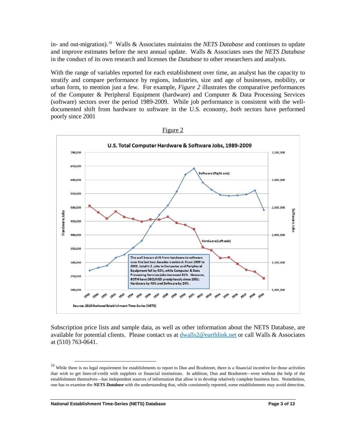in- and out-migration).[10](#page-4-0) Walls & Associates maintains the *NETS Database* and continues to update and improve estimates before the next annual update. Walls & Associates uses the *NETS Database* in the conduct of its own research and licenses the *Database* to other researchers and analysts.

With the range of variables reported for each establishment over time, an analyst has the capacity to stratify and compare performance by regions, industries, size and age of businesses, mobility, or urban form, to mention just a few. For example, *Figure 2* illustrates the comparative performances of the Computer & Peripheral Equipment (hardware) and Computer & Data Processing Services (software) sectors over the period 1989-2009. While job performance is consistent with the welldocumented shift from hardware to software in the U.S. economy, *both* sectors have performed poorly since 2001



Figure 2

Subscription price lists and sample data, as well as other information about the NETS Database, are available for potential clients. Please contact us at dwalls2@earthlink.net or call Walls & Associates at (510) 763-0641.

**National Establishment Time-Series (NETS) Database Page 3 of 13**

<span id="page-4-0"></span> $10$  While there is no legal requirement for establishments to report to Dun and Bradstreet, there is a financial incentive for those activities that wish to get lines-of-credit with suppliers or financial institutions. In addition, Dun and Bradstreet—even without the help of the establishment themselves—has independent sources of information that allow it to develop relatively complete business lists. Nonetheless, one has to examine the *NETS Database* with the understanding that, while consistently reported, some establishments may avoid detection.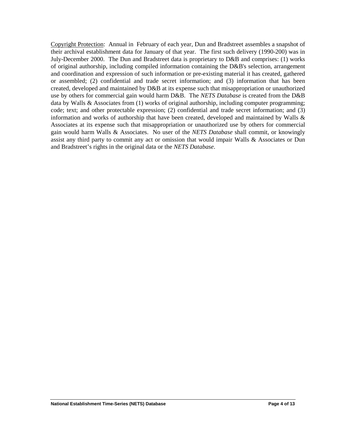Copyright Protection: Annual in February of each year, Dun and Bradstreet assembles a snapshot of their archival establishment data for January of that year. The first such delivery (1990-200) was in July-December 2000. The Dun and Bradstreet data is proprietary to D&B and comprises: (1) works of original authorship, including compiled information containing the D&B's selection, arrangement and coordination and expression of such information or pre-existing material it has created, gathered or assembled; (2) confidential and trade secret information; and (3) information that has been created, developed and maintained by D&B at its expense such that misappropriation or unauthorized use by others for commercial gain would harm D&B. The *NETS Database* is created from the D&B data by Walls & Associates from (1) works of original authorship, including computer programming; code; text; and other protectable expression; (2) confidential and trade secret information; and (3) information and works of authorship that have been created, developed and maintained by Walls  $\&$ Associates at its expense such that misappropriation or unauthorized use by others for commercial gain would harm Walls & Associates. No user of the *NETS Database* shall commit, or knowingly assist any third party to commit any act or omission that would impair Walls & Associates or Dun and Bradstreet's rights in the original data or the *NETS Database*.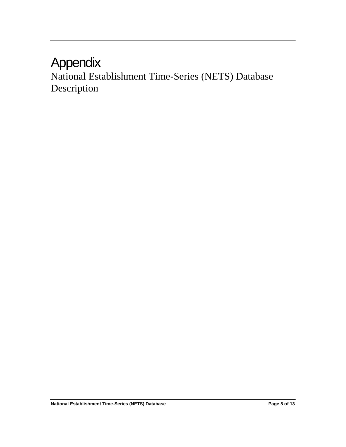### Appendix

National Establishment Time-Series (NETS) Database Description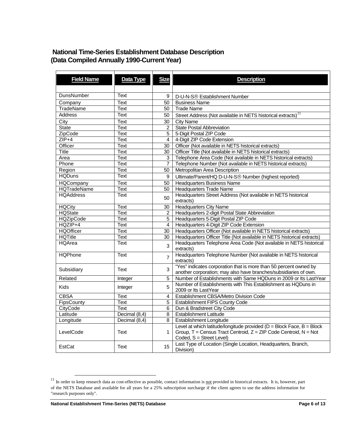#### **National Time-Series Establishment Database Description (Data Compiled Annually 1990-Current Year)**

| <b>Field Name</b>    | Data Type                      | <b>Size</b>             | <b>Description</b>                                                                                                                    |
|----------------------|--------------------------------|-------------------------|---------------------------------------------------------------------------------------------------------------------------------------|
|                      |                                |                         |                                                                                                                                       |
|                      |                                |                         |                                                                                                                                       |
| DunsNumber           | Text                           | 9                       | D-U-N-S <sup>®</sup> Establishment Number                                                                                             |
| Company              | <b>Text</b>                    | 50                      | <b>Business Name</b>                                                                                                                  |
| <b>TradeName</b>     | Text                           | 50                      | <b>Trade Name</b>                                                                                                                     |
| <b>Address</b>       | Text                           | 50                      | Street Address (Not available in NETS historical extracts) <sup>11</sup>                                                              |
| City                 | Text                           | 30                      | <b>City Name</b>                                                                                                                      |
| State                | Text                           | $\overline{2}$          | <b>State Postal Abbreviation</b>                                                                                                      |
| <b>ZipCode</b>       | Text                           | 5                       | 5-Digit Postal ZIP Code                                                                                                               |
| $ZIP+4$              | Text                           | $\overline{4}$          | 4-Digit ZIP Code Extension                                                                                                            |
| Officer              | Text                           | 30                      | Officer (Not available in NETS historical extracts)                                                                                   |
| <b>Title</b>         | <b>Text</b>                    | 30                      | Officer Title (Not available in NETS historical extracts)                                                                             |
| Area                 | Text                           | 3                       | Telephone Area Code (Not available in NETS historical extracts)                                                                       |
| Phone                | <b>Text</b>                    | $\overline{7}$          | Telephone Number (Not available in NETS historical extracts)                                                                          |
| Region               | Text                           | 50                      | Metropolitan Area Description                                                                                                         |
| <b>HQDuns</b>        | Text                           | 9                       | Ultimate/Parent/HQ D-U-N-S® Number (highest reported)                                                                                 |
| <b>HQCompany</b>     | Text                           | 50                      | <b>Headquarters Business Name</b>                                                                                                     |
| <b>HQTradeName</b>   | Text                           | 50                      | <b>Headquarters Trade Name</b>                                                                                                        |
| <b>HQAddress</b>     | Text                           | 50                      | Headquarters Street Address (Not available in NETS historical<br>extracts)                                                            |
| <b>HQCity</b>        | Text                           | 30                      | <b>Headquarters City Name</b>                                                                                                         |
| <b>HQState</b>       | Text                           | $\overline{2}$          | Headquarters 2-digit Postal State Abbreviation                                                                                        |
| <b>HQZipCode</b>     | Text                           | 5                       | Headquarters 5-Digit Postal ZIP Code                                                                                                  |
| HQZIP+4              | Text                           | $\overline{\mathbf{4}}$ | Headquarters 4-Digit ZIP Code Extension                                                                                               |
| <b>HQOfficer</b>     | Text                           | 30                      | Headquarters Officer (Not available in NETS historical extracts)                                                                      |
| <b>HQTitle</b>       | Text                           | 30                      | Headquarters Officer Title (Not available in NETS historical extracts)                                                                |
| HQArea               | Text                           | $\overline{3}$          | Headquarters Telephone Area Code (Not available in NETS historical<br>extracts)                                                       |
| <b>HQPhone</b>       | <b>Text</b>                    | $\overline{7}$          | Headquarters Telephone Number (Not available in NETS historical<br>extracts)                                                          |
| Subsidiary           | Text                           | 3                       | "Yes" indicates corporation that is more than 50 percent owned by<br>another corporation; may also have branches/subsidiaries of own. |
| Related              | Integer                        | 5                       | Number of Establishments with Same HQDuns in 2009 or Its LastYear                                                                     |
| <b>Kids</b>          | Integer                        | 5                       | Number of Establishments with This Establishment as HQDuns in                                                                         |
| <b>CBSA</b>          |                                |                         | 2009 or Its LastYear                                                                                                                  |
| FipsCounty           | Text                           | 4<br>$\overline{5}$     | Establishment CBSA/Metro Division Code                                                                                                |
|                      | Text<br>Text                   |                         | <b>Establishment FIPS County Code</b>                                                                                                 |
| CityCode<br>Latitude |                                | 6<br>$\overline{8}$     | Dun & Bradstreet City Code<br><b>Establishment Latitude</b>                                                                           |
|                      | Decimal (8,4)<br>Decimal (8,4) | 8                       |                                                                                                                                       |
| Longitude            |                                |                         | Establishment Longitude<br>Level at which latitude/longitude provided ( $D = Block$ Face, $B = Block$                                 |
| LevelCode            | Text                           | $\mathbf 1$             | Group, $T =$ Census Tract Centroid, $Z = ZIP$ Code Centroid, $N = Not$<br>Coded, S = Street Level)                                    |
| EstCat               | Text                           | 15                      | Last Type of Location (Single Location, Headquarters, Branch,<br>Division)                                                            |

<span id="page-7-0"></span><sup>&</sup>lt;sup>11</sup> In order to keep research data as cost-effective as possible, contact information is  $\frac{1}{1}$  provided in historical extracts. It is, however, part of the NETS Database and available for all years for a 25% subscription surcharge if the client agrees to use the address information for "research purposes only".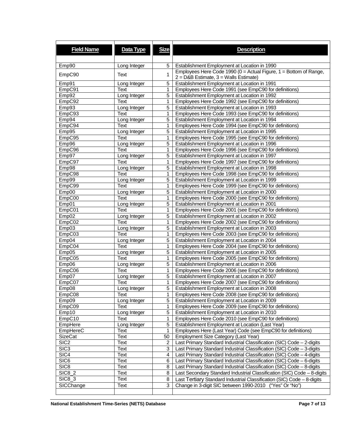| <b>Field Name</b>  | Data Type    | <b>Size</b>    | <b>Description</b>                                                                                                 |
|--------------------|--------------|----------------|--------------------------------------------------------------------------------------------------------------------|
| Emp90              | Long Integer | 5              | Establishment Employment at Location in 1990                                                                       |
| EmpC90             | Text         | 1              | Employees Here Code 1990 ( $0 =$ Actual Figure, 1 = Bottom of Range,<br>$2 = D&B$ Estimate, $3 = W$ alls Estimate) |
| Emp91              | Long Integer | 5              | Establishment Employment at Location in 1991                                                                       |
| EmpC91             | Text         | 1              | Employees Here Code 1991 (see EmpC90 for definitions)                                                              |
| Emp92              | Long Integer | 5              | Establishment Employment at Location in 1992                                                                       |
| EmpC92             | Text         | 1              | Employees Here Code 1992 (see EmpC90 for definitions)                                                              |
| Emp93              | Long Integer | 5              | Establishment Employment at Location in 1993                                                                       |
| EmpC93             | Text         | 1              | Employees Here Code 1993 (see EmpC90 for definitions)                                                              |
| Emp94              | Long Integer | 5              | Establishment Employment at Location in 1994                                                                       |
| EmpC94             | Text         | 1              | Employees Here Code 1994 (see EmpC90 for definitions)                                                              |
| Emp95              | Long Integer | 5              | Establishment Employment at Location in 1995                                                                       |
| EmpC95             | Text         | 1              | Employees Here Code 1995 (see EmpC90 for definitions)                                                              |
| Emp96              | Long Integer | 5              | Establishment Employment at Location in 1996                                                                       |
| EmpC96             | Text         | 1              | Employees Here Code 1996 (see EmpC90 for definitions)                                                              |
| Emp97              | Long Integer | 5              | Establishment Employment at Location in 1997                                                                       |
| EmpC97             | Text         | $\mathbf{1}$   | Employees Here Code 1997 (see EmpC90 for definitions)                                                              |
| Emp98              | Long Integer | 5              | Establishment Employment at Location in 1998                                                                       |
| EmpC98             | Text         | 1              | Employees Here Code 1998 (see EmpC90 for definitions)                                                              |
| Emp99              | Long Integer | 5              | Establishment Employment at Location in 1999                                                                       |
| EmpC99             | Text         | 1              | Employees Here Code 1999 (see EmpC90 for definitions)                                                              |
| Emp00              | Long Integer | 5              | Establishment Employment at Location in 2000                                                                       |
| EmpC00             | Text         | 1              | Employees Here Code 2000 (see EmpC90 for definitions)                                                              |
| Emp01              | Long Integer | 5              | Establishment Employment at Location in 2001                                                                       |
| EmpC01             | Text         | 1              | Employees Here Code 2001 (see EmpC90 for definitions)                                                              |
| Emp02              | Long Integer | 5              | Establishment Employment at Location in 2002                                                                       |
| EmpC02             | Text         | 1              | Employees Here Code 2002 (see EmpC90 for definitions)                                                              |
| Emp03              | Long Integer | 5              | Establishment Employment at Location in 2003                                                                       |
| EmpC03             | Text         | 1              | Employees Here Code 2003 (see EmpC90 for definitions)                                                              |
| Emp04              | Long Integer | 5              | Establishment Employment at Location in 2004                                                                       |
| EmpCO <sub>4</sub> | Text         | 1              | Employees Here Code 2004 (see EmpC90 for definitions)                                                              |
| Emp05              | Long Integer | 5              | Establishment Employment at Location in 2005                                                                       |
| EmpC05             | Text         | 1              | Employees Here Code 2005 (see EmpC90 for definitions)                                                              |
| Emp06              | Long Integer | 5              | Establishment Employment at Location in 2006                                                                       |
| EmpC06             | Text         | 1              | Employees Here Code 2006 (see EmpC90 for definitions)                                                              |
| Emp07              | Long Integer | $\overline{5}$ | Establishment Employment at Location in 2007                                                                       |
| EmpC07             | Text         | 1              | Employees Here Code 2007 (see EmpC90 for definitions)                                                              |
| Emp08              | Long Integer | 5              | Establishment Employment at Location in 2008                                                                       |
| EmpC08             | Text         | $\mathbf{1}$   | Employees Here Code 2008 (see EmpC90 for definitions)                                                              |
| Emp09              | Long Integer | 5              | Establishment Employment at Location in 2009                                                                       |
| EmpC09             | Text         | 1              | Employees Here Code 2009 (see EmpC90 for definitions)                                                              |
| Emp10              | Long Integer | 5              | Establishment Employment at Location in 2010                                                                       |
| EmpC10             | Text         | 1              | Employees Here Code 2010 (see EmpC90 for definitions)                                                              |
| EmpHere            | Long Integer | 5              | Establishment Employment at Location (Last Year)                                                                   |
| EmpHereC           | Text         | 1              | Employees Here (Last Year) Code (see EmpC90 for definitions)                                                       |
| <b>SizeCat</b>     | Text         | 50             | Employment Size Category (Last Year)                                                                               |
| SIC <sub>2</sub>   | Text         | 2              | Last Primary Standard Industrial Classification (SIC) Code - 2-digits                                              |
| SIC <sub>3</sub>   | Text         | 3              | Last Primary Standard Industrial Classification (SIC) Code - 3-digits                                              |
| SIC4               | Text         | 4              | Last Primary Standard Industrial Classification (SIC) Code - 4-digits                                              |
| SIC <sub>6</sub>   | Text         | 6              | Last Primary Standard Industrial Classification (SIC) Code - 6-digits                                              |
| SIC <sub>8</sub>   | Text         | 8              | Last Primary Standard Industrial Classification (SIC) Code - 8-digits                                              |
| <b>SIC8_2</b>      | Text         | 8              | Last Secondary Standard Industrial Classification (SIC) Code - 8-digits                                            |
| <b>SIC8_3</b>      | Text         | 8              | Last Tertiary Standard Industrial Classification (SIC) Code - 8-digits                                             |
| SICChange          | Text         | 3              | Change in 3-digit SIC between 1990-2010 ("Yes" Or "No")                                                            |
|                    |              |                |                                                                                                                    |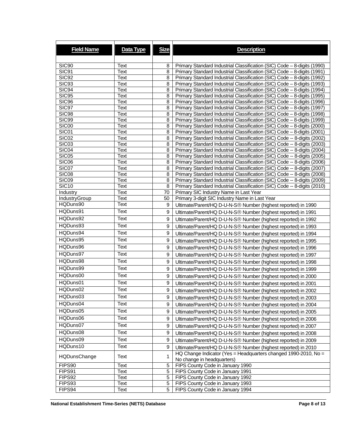| <b>Field Name</b> | Data Type    | <b>Size</b>      | <b>Description</b>                                                                                                                                   |
|-------------------|--------------|------------------|------------------------------------------------------------------------------------------------------------------------------------------------------|
|                   |              |                  |                                                                                                                                                      |
| <b>SIC90</b>      | Text         | 8                | Primary Standard Industrial Classification (SIC) Code - 8-digits (1990)                                                                              |
| SIC91             | Text         | 8                | Primary Standard Industrial Classification (SIC) Code - 8-digits (1991)                                                                              |
| <b>SIC92</b>      | Text         | 8                | Primary Standard Industrial Classification (SIC) Code - 8-digits (1992)                                                                              |
| SIC93             | Text         | 8                | Primary Standard Industrial Classification (SIC) Code - 8-digits (1993)                                                                              |
| <b>SIC94</b>      | Text         | 8                | Primary Standard Industrial Classification (SIC) Code - 8-digits (1994)                                                                              |
| <b>SIC95</b>      | Text         | 8                | Primary Standard Industrial Classification (SIC) Code - 8-digits (1995)                                                                              |
| <b>SIC96</b>      | Text         | 8                | Primary Standard Industrial Classification (SIC) Code - 8-digits (1996)                                                                              |
| SIC97             | Text         | 8                | Primary Standard Industrial Classification (SIC) Code - 8-digits (1997)                                                                              |
| <b>SIC98</b>      | Text         | 8                | Primary Standard Industrial Classification (SIC) Code - 8-digits (1998)                                                                              |
| SIC99             | Text         | 8                | Primary Standard Industrial Classification (SIC) Code - 8-digits (1999)                                                                              |
| SIC00             | Text         | 8                | Primary Standard Industrial Classification (SIC) Code - 8-digits (2000)                                                                              |
| SIC01             | Text         | 8                | Primary Standard Industrial Classification (SIC) Code - 8-digits (2001)                                                                              |
| SIC <sub>02</sub> | Text         | 8                | Primary Standard Industrial Classification (SIC) Code -- 8-digits (2002)                                                                             |
| SIC <sub>03</sub> | Text         | 8                | Primary Standard Industrial Classification (SIC) Code -- 8-digits (2003)                                                                             |
| SIC04             | Text         | 8                | Primary Standard Industrial Classification (SIC) Code -- 8-digits (2004)                                                                             |
| SIC05<br>SIC06    | Text<br>Text | 8<br>8           | Primary Standard Industrial Classification (SIC) Code -- 8-digits (2005)<br>Primary Standard Industrial Classification (SIC) Code -- 8-digits (2006) |
| SIC07             | Text         | 8                | Primary Standard Industrial Classification (SIC) Code -- 8-digits (2007)                                                                             |
| SIC08             | Text         | 8                | Primary Standard Industrial Classification (SIC) Code -- 8-digits (2008)                                                                             |
| SIC09             | Text         | 8                | Primary Standard Industrial Classification (SIC) Code -- 8-digits (2009)                                                                             |
| <b>SIC10</b>      | Text         | $\overline{8}$   | Primary Standard Industrial Classification (SIC) Code -- 8-digits (2010)                                                                             |
| Industry          | Text         | 70               | Primary SIC Industry Name in Last Year                                                                                                               |
| IndustryGroup     | Text         | 50               | Primary 3-digit SIC Industry Name in Last Year                                                                                                       |
| HQDuns90          | Text         | 9                | Ultimate/Parent/HQ D-U-N-S® Number (highest reported) in 1990                                                                                        |
| HQDuns91          | Text         | 9                | Ultimate/Parent/HQ D-U-N-S® Number (highest reported) in 1991                                                                                        |
| HQDuns92          | Text         | $\boldsymbol{9}$ | Ultimate/Parent/HQ D-U-N-S® Number (highest reported) in 1992                                                                                        |
| HQDuns93          | Text         |                  |                                                                                                                                                      |
|                   |              | 9                | Ultimate/Parent/HQ D-U-N-S <sup>®</sup> Number (highest reported) in 1993                                                                            |
| HQDuns94          | Text         | 9                | Ultimate/Parent/HQ D-U-N-S <sup>®</sup> Number (highest reported) in 1994                                                                            |
| HQDuns95          | Text         | 9                | Ultimate/Parent/HQ D-U-N-S® Number (highest reported) in 1995                                                                                        |
| HQDuns96          | Text         | 9                | Ultimate/Parent/HQ D-U-N-S® Number (highest reported) in 1996                                                                                        |
| HQDuns97          | Text         | $\boldsymbol{9}$ | Ultimate/Parent/HQ D-U-N-S <sup>®</sup> Number (highest reported) in 1997                                                                            |
| HQDuns98          | Text         | 9                | Ultimate/Parent/HQ D-U-N-S <sup>®</sup> Number (highest reported) in 1998                                                                            |
| HQDuns99          | Text         | 9                | Ultimate/Parent/HQ D-U-N-S® Number (highest reported) in 1999                                                                                        |
| HQDuns00          | Text         | 9                | Ultimate/Parent/HQ D-U-N-S® Number (highest reported) in 2000                                                                                        |
| HQDuns01          | Text         | 9                | Ultimate/Parent/HQ D-U-N-S® Number (highest reported) in 2001                                                                                        |
| HQDuns02          | Text         | 9                | Ultimate/Parent/HQ D-U-N-S® Number (highest reported) in 2002                                                                                        |
|                   |              |                  |                                                                                                                                                      |
| HQDuns03          | Text         | 9                | Ultimate/Parent/HQ D-U-N-S® Number (highest reported) in 2003                                                                                        |
| HQDuns04          | Text         | 9                | Ultimate/Parent/HQ D-U-N-S® Number (highest reported) in 2004                                                                                        |
| HQDuns05          | Text         | 9                | Ultimate/Parent/HQ D-U-N-S® Number (highest reported) in 2005                                                                                        |
| HQDuns06          | Text         | 9                | Ultimate/Parent/HQ D-U-N-S® Number (highest reported) in 2006                                                                                        |
| HQDuns07          | Text         | 9                | Ultimate/Parent/HQ D-U-N-S® Number (highest reported) in 2007                                                                                        |
| HQDuns08          | Text         | 9                | Ultimate/Parent/HQ D-U-N-S® Number (highest reported) in 2008                                                                                        |
| HQDuns09          | Text         | 9                | Ultimate/Parent/HQ D-U-N-S® Number (highest reported) in 2009                                                                                        |
| HQDuns10          | Text         | 9                | Ultimate/Parent/HQ D-U-N-S® Number (highest reported) in 2010                                                                                        |
|                   |              |                  | HQ Change Indicator (Yes = Headquarters changed 1990-2010, No =                                                                                      |
| HQDunsChange      | Text         | 1                | No change in headquarters)                                                                                                                           |
| FIPS90            | Text         | 5                | FIPS County Code in January 1990                                                                                                                     |
| FIPS91            | Text         | 5                | FIPS County Code in January 1991                                                                                                                     |
| FIPS92            | Text         | 5                | FIPS County Code in January 1992                                                                                                                     |
| FIPS93            | Text         | 5                | FIPS County Code in January 1993                                                                                                                     |
| FIPS94            | Text         | 5                | FIPS County Code in January 1994                                                                                                                     |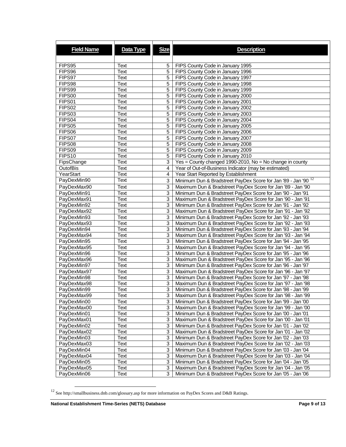| <b>Field Name</b> | Data Type | <b>Size</b>    | <b>Description</b>                                                        |
|-------------------|-----------|----------------|---------------------------------------------------------------------------|
|                   |           |                |                                                                           |
| FIPS95            | Text      | 5              | FIPS County Code in January 1995                                          |
| FIPS96            | Text      | 5              | FIPS County Code in January 1996                                          |
| FIPS97            | Text      | 5              | FIPS County Code in January 1997                                          |
| FIPS98            | Text      | 5              | FIPS County Code in January 1998                                          |
| FIPS99            | Text      | 5              | FIPS County Code in January 1999                                          |
| FIPS00            | Text      | 5              | FIPS County Code in January 2000                                          |
| FIPS01            | Text      | 5              | FIPS County Code in January 2001                                          |
| FIPS02            | Text      | 5              | FIPS County Code in January 2002                                          |
| FIPS03            | Text      | 5              | FIPS County Code in January 2003                                          |
| FIPS04            | Text      | 5              | FIPS County Code in January 2004                                          |
| FIPS05            | Text      | 5              | FIPS County Code in January 2005                                          |
| FIPS06            | Text      | 5              | FIPS County Code in January 2006                                          |
| FIPS07            | Text      | $\overline{5}$ | FIPS County Code in January 2007                                          |
| FIPS08            | Text      | 5              | FIPS County Code in January 2008                                          |
| FIPS09            | Text      | 5              | FIPS County Code in January 2009                                          |
| FIPS10            | Text      | 5              | FIPS County Code in January 2010                                          |
| FipsChange        | Text      | $\overline{3}$ | $Yes = County changed 1990-2010, No = No change in country$               |
| OutofBis          | Text      | $\overline{4}$ | Year of Out-of-Business Indicator (may be estimated)                      |
| YearStart         | Text      | 4              | Year Start Reported by Establishment                                      |
| PayDexMin90       | Text      | 3              | Minimum Dun & Bradstreet PayDex Score for Jan '89 - Jan '90 <sup>12</sup> |
| PayDexMax90       | Text      | 3              | Maximum Dun & Bradstreet PayDex Score for Jan '89 - Jan '90               |
| PayDexMin91       | Text      | 3              | Minimum Dun & Bradstreet PayDex Score for Jan '90 - Jan '91               |
| PayDexMax91       | Text      | 3              | Maximum Dun & Bradstreet PayDex Score for Jan '90 - Jan '91               |
| PayDexMin92       | Text      | 3              | Minimum Dun & Bradstreet PayDex Score for Jan '91 - Jan '92               |
| PayDexMax92       | Text      | $\overline{3}$ | Maximum Dun & Bradstreet PayDex Score for Jan '91 - Jan '92               |
| PayDexMin93       | Text      | 3              | Minimum Dun & Bradstreet PayDex Score for Jan '92 - Jan '93               |
| PayDexMax93       | Text      | 3              | Maximum Dun & Bradstreet PayDex Score for Jan '92 - Jan '93               |
| PayDexMin94       | Text      | 3              | Minimum Dun & Bradstreet PayDex Score for Jan '93 - Jan '94               |
| PayDexMax94       | Text      | $\overline{3}$ | Maximum Dun & Bradstreet PayDex Score for Jan '93 - Jan '94               |
| PayDexMin95       | Text      | 3              | Minimum Dun & Bradstreet PayDex Score for Jan '94 - Jan '95               |
| PayDexMax95       | Text      | 3              | Maximum Dun & Bradstreet PayDex Score for Jan '94 - Jan '95               |
| PayDexMin96       | Text      | 3              | Minimum Dun & Bradstreet PayDex Score for Jan '95 - Jan '96               |
| PayDexMax96       | Text      | $\overline{3}$ | Maximum Dun & Bradstreet PayDex Score for Jan '95 - Jan '96               |
| PayDexMin97       | Text      | $\mathbf{3}$   | Minimum Dun & Bradstreet PayDex Score for Jan '96 - Jan '97               |
| PayDexMax97       | Text      | 3              | Maximum Dun & Bradstreet PayDex Score for Jan '96 - Jan '97               |
| PayDexMin98       | Text      | 3              | Minimum Dun & Bradstreet PayDex Score for Jan '97 - Jan '98               |
| PayDexMax98       | Text      | 3              | Maximum Dun & Bradstreet PayDex Score for Jan '97 - Jan '98               |
| PayDexMin99       | Text      | 3              | Minimum Dun & Bradstreet PayDex Score for Jan '98 - Jan '99               |
| PayDexMax99       | Text      | 3              | Maximum Dun & Bradstreet PayDex Score for Jan '98 - Jan '99               |
| PayDexMin00       | Text      | 3              | Minimum Dun & Bradstreet PayDex Score for Jan '99 - Jan '00               |
| PayDexMax00       | Text      | 3              | Maximum Dun & Bradstreet PayDex Score for Jan '99 - Jan '00               |
| PayDexMin01       | Text      | 3 <sup>1</sup> | Minimum Dun & Bradstreet PayDex Score for Jan '00 - Jan '01               |
| PayDexMax01       | Text      | 3              | Maximum Dun & Bradstreet PayDex Score for Jan '00 - Jan '01               |
| PayDexMin02       | Text      | 3              | Minimum Dun & Bradstreet PayDex Score for Jan '01 - Jan '02               |
| PayDexMax02       | Text      | 3              | Maximum Dun & Bradstreet PayDex Score for Jan '01 - Jan '02               |
| PayDexMin03       | Text      | 3              | Minimum Dun & Bradstreet PayDex Score for Jan '02 - Jan '03               |
| PayDexMax03       | Text      | 3              | Maximum Dun & Bradstreet PayDex Score for Jan '02 - Jan '03               |
| PayDexMin04       | Text      | 3              | Minimum Dun & Bradstreet PayDex Score for Jan '03 - Jan '04               |
| PayDexMax04       | Text      | 3              | Maximum Dun & Bradstreet PayDex Score for Jan '03 - Jan '04               |
| PayDexMin05       | Text      | $\overline{3}$ | Minimum Dun & Bradstreet PayDex Score for Jan '04 - Jan '05               |
| PayDexMax05       | Text      | 3              | Maximum Dun & Bradstreet PayDex Score for Jan '04 - Jan '05               |
| PayDexMin06       | Text      | 3              | Minimum Dun & Bradstreet PayDex Score for Jan '05 - Jan '06               |

<span id="page-10-0"></span> $^{12}$  See http://smallbusiness.dnb.com/glossary.asp for more information on PayDex Scores and D&B Ratings.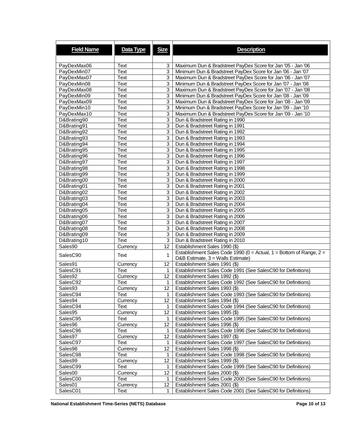| <b>Field Name</b> | Data Type   | <b>Size</b>    | <b>Description</b>                                                                                          |
|-------------------|-------------|----------------|-------------------------------------------------------------------------------------------------------------|
| PayDexMax06       | Text        | 3              | Maximum Dun & Bradstreet PayDex Score for Jan '05 - Jan '06                                                 |
| PayDexMin07       | Text        | 3              | Minimum Dun & Bradstreet PayDex Score for Jan '06 - Jan '07                                                 |
| PayDexMax07       | Text        | 3              | Maximum Dun & Bradstreet PayDex Score for Jan '06 - Jan '07                                                 |
| PayDexMin08       | Text        | 3              | Minimum Dun & Bradstreet PayDex Score for Jan '07 - Jan '08                                                 |
| PayDexMax08       | Text        | 3              | Maximum Dun & Bradstreet PayDex Score for Jan '07 - Jan '08                                                 |
| PayDexMin09       | <b>Text</b> | 3              | Minimum Dun & Bradstreet PayDex Score for Jan '08 - Jan '09                                                 |
| PayDexMax09       | Text        | 3              | Maximum Dun & Bradstreet PayDex Score for Jan '08 - Jan '09                                                 |
| PayDexMin10       | Text        | 3              | Minimum Dun & Bradstreet PayDex Score for Jan '09 - Jan '10                                                 |
| PayDexMax10       | <b>Text</b> | 3              | Maximum Dun & Bradstreet PayDex Score for Jan '09 - Jan '10                                                 |
| D&Brating90       | Text        | 3              | Dun & Bradstreet Rating in 1990                                                                             |
| D&Brating91       | Text        | 3              | Dun & Bradstreet Rating in 1991                                                                             |
| D&Brating92       | Text        | 3              | Dun & Bradstreet Rating in 1992                                                                             |
| D&Brating93       | Text        | 3              | Dun & Bradstreet Rating in 1993                                                                             |
| D&Brating94       | Text        | 3              | Dun & Bradstreet Rating in 1994                                                                             |
| D&Brating95       | Text        | 3              | Dun & Bradstreet Rating in 1995                                                                             |
| D&Brating96       | Text        | 3              | Dun & Bradstreet Rating in 1996                                                                             |
| D&Brating97       | Text        | 3              | Dun & Bradstreet Rating in 1997                                                                             |
| D&Brating98       | Text        | 3              | Dun & Bradstreet Rating in 1998                                                                             |
| D&Brating99       | Text        | 3              | Dun & Bradstreet Rating in 1999                                                                             |
| D&Brating00       | Text        | 3              | Dun & Bradstreet Rating in 2000                                                                             |
| D&Brating01       | Text        | $\overline{3}$ | Dun & Bradstreet Rating in 2001                                                                             |
| D&Brating02       | Text        | 3              | Dun & Bradstreet Rating in 2002                                                                             |
| D&Brating03       | Text        | 3              | Dun & Bradstreet Rating in 2003                                                                             |
| D&Brating04       | Text        | 3              | Dun & Bradstreet Rating in 2004                                                                             |
| D&Brating05       | Text        | 3              | Dun & Bradstreet Rating in 2005                                                                             |
| D&Brating06       | Text        | 3              | Dun & Bradstreet Rating in 2006                                                                             |
| D&Brating07       | Text        | 3              | Dun & Bradstreet Rating in 2007                                                                             |
| D&Brating08       | Text        | 3              | Dun & Bradstreet Rating in 2008                                                                             |
| D&Brating09       | Text        | 3              | Dun & Bradstreet Rating in 2009                                                                             |
| D&Brating10       | Text        | 3              | Dun & Bradstreet Rating in 2010                                                                             |
| Sales90           | Currency    | 12             | Establishment Sales 1990 (\$)                                                                               |
| SalesC90          | Text        | 1              | Establishment Sales Code 1990 ( $0 =$ Actual, 1 = Bottom of Range, 2 =<br>D&B Estimate, 3 = Walls Estimate) |
| Sales91           | Currency    | 12             | Establishment Sales 1991 (\$)                                                                               |
| SalesC91          | Text        | 1              | Establishment Sales Code 1991 (See SalesC90 for Definitions)                                                |
| Sales92           | Currency    | 12             | Establishment Sales 1992 (\$)                                                                               |
| SalesC92          | Text        | 1              | Establishment Sales Code 1992 (See SalesC90 for Definitions)                                                |
| Sales93           | Currency    | 12             | Establishment Sales 1993 (\$)                                                                               |
| SalesC94          | Text        | $\mathbf{1}$   | Establishment Sales Code 1993 (See SalesC90 for Definitions)                                                |
| Sales94           | Currency    | 12             | Establishment Sales 1994 (\$)                                                                               |
| SalesC94          | Text        | 1              | Establishment Sales Code 1994 (See SalesC90 for Definitions)                                                |
| Sales95           | Currency    | 12             | Establishment Sales 1995 (\$)                                                                               |
| SalesC95          | Text        | 1              | Establishment Sales Code 1995 (See SalesC90 for Definitions)                                                |
| Sales96           | Currency    | 12             | Establishment Sales 1996 (\$)                                                                               |
| SalesC96          | Text        | 1              | Establishment Sales Code 1996 (See SalesC90 for Definitions)                                                |
| Sales97           | Currency    | 12.            | Establishment Sales 1997 (\$)                                                                               |
| SalesC97          | Text        | 1              | Establishment Sales Code 1997 (See SalesC90 for Definitions)                                                |
| Sales98           | Currency    | 12             | Establishment Sales 1998 (\$)                                                                               |
| SalesC98          | Text        | 1              | Establishment Sales Code 1998 (See SalesC90 for Definitions)                                                |
| Sales99           | Currency    | 12             | Establishment Sales 1999 (\$)                                                                               |
| SalesC99          | Text        | 1              | Establishment Sales Code 1999 (See SalesC90 for Definitions)                                                |
| Sales00           | Currency    | 12             | Establishment Sales 2000 (\$)                                                                               |
| SalesC00          | Text        | 1              | Establishment Sales Code 2000 (See SalesC90 for Definitions)                                                |
| Sales01           | Currency    | 12             | Establishment Sales 2001 (\$)                                                                               |
| SalesC01          | Text        | 1              | Establishment Sales Code 2001 (See SalesC90 for Definitions)                                                |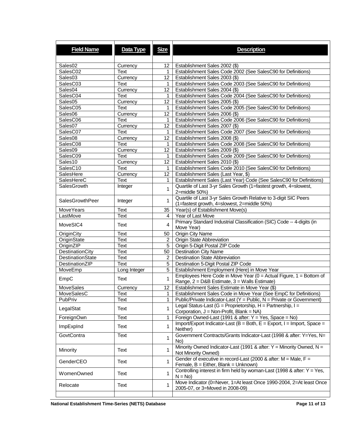| <b>Field Name</b>       | Data Type    | <b>Size</b>    | <b>Description</b>                                                                                                                      |
|-------------------------|--------------|----------------|-----------------------------------------------------------------------------------------------------------------------------------------|
| Sales <sub>02</sub>     | Currency     | 12             | Establishment Sales 2002 (\$)                                                                                                           |
| SalesC02                | Text         | 1              | Establishment Sales Code 2002 (See SalesC90 for Definitions)                                                                            |
| Sales03                 | Currency     | 12             | Establishment Sales 2003 (\$)                                                                                                           |
| SalesC03                | Text         | 1              | Establishment Sales Code 2003 (See SalesC90 for Definitions)                                                                            |
| Sales04                 | Currency     | 12             | Establishment Sales 2004 (\$)                                                                                                           |
| SalesC04                | Text         | 1              | Establishment Sales Code 2004 (See SalesC90 for Definitions)                                                                            |
| Sales <sub>05</sub>     | Currency     | 12             | Establishment Sales 2005 (\$)                                                                                                           |
| SalesC05                | Text         | 1              | Establishment Sales Code 2005 (See SalesC90 for Definitions)                                                                            |
| Sales06                 | Currency     | 12             | Establishment Sales 2006 (\$)                                                                                                           |
| SalesC06                | Text         | 1              | Establishment Sales Code 2006 (See SalesC90 for Definitions)                                                                            |
| Sales07                 | Currency     | 12             | Establishment Sales 2007 (\$)                                                                                                           |
| SalesC07                | Text         | 1              | Establishment Sales Code 2007 (See SalesC90 for Definitions)                                                                            |
| Sales <sub>08</sub>     | Currency     | 12             | Establishment Sales 2008 (\$)                                                                                                           |
| SalesC08                | Text         | $\mathbf{1}$   | Establishment Sales Code 2008 (See SalesC90 for Definitions)                                                                            |
| Sales <sub>09</sub>     | Currency     | 12             | Establishment Sales 2009 (\$)                                                                                                           |
| SalesC09                | Text         | 1              | Establishment Sales Code 2009 (See SalesC90 for Definitions)                                                                            |
| Sales10                 | Currency     | 12             | Establishment Sales 2010 (\$)                                                                                                           |
| SalesC10                | Text         | 1              | Establishment Sales Code 2010 (See SalesC90 for Definitions)                                                                            |
| SalesHere<br>SalesHereC | Currency     | 12             | Establishment Sales (Last Year, \$)                                                                                                     |
| SalesGrowth             | Text         | 1              | Establishment Sales (Last Year) Code (See SalesC90 for Definitions)<br>Quartile of Last 3-yr Sales Growth (1=fastest growth, 4=slowest, |
|                         | Integer      | 1              | 2=middle 50%)                                                                                                                           |
| SalesGrowthPeer         | Integer      | 1              | Quartile of Last 3-yr Sales Growth Relative to 3-digit SIC Peers<br>(1=fastest growth, 4=slowest, 2=middle 50%)                         |
| MoveYears               | Text         | 35             | Year(s) of Establishment Move(s)                                                                                                        |
| LastMove                | Text         | 4              | Year of Last Move                                                                                                                       |
| MoveSIC4                | Text         | 4              | Primary Standard Industrial Classification (SIC) Code -- 4-digits (in<br>Move Year)                                                     |
| OriginCity              | Text         | 50             | <b>Origin City Name</b>                                                                                                                 |
| OriginState             | Text         | 2              | Origin State Abbreviation                                                                                                               |
| OriginZIP               | Text         | 5              | Origin 5-Digit Postal ZIP Code                                                                                                          |
| DestinationCity         | Text         | 50             | <b>Destination City Name</b>                                                                                                            |
| <b>DestinationState</b> | Text         | $\overline{2}$ | <b>Destination State Abbreviation</b>                                                                                                   |
| DestinationZIP          | Text         | 5              | Destination 5-Digit Postal ZIP Code                                                                                                     |
| MoveEmp                 | Long Integer | 5              | Establishment Employment (Here) in Move Year                                                                                            |
| EmpC                    | Text         | $\mathbf{1}$   | Employees Here Code in Move Year ( $0 =$ Actual Figure, $1 =$ Bottom of<br>Range, 2 = D&B Estimate, 3 = Walls Estimate)                 |
| <b>MoveSales</b>        | Currency     | 12             | Establishment Sales Estimate in Move Year (\$)                                                                                          |
| MoveSalesC              | Text         | 1              | Establishment Sales Code in Move Year (See EmpC for Definitions)                                                                        |
| PubPriv                 | Text         | 1              | Public/Private Indicator-Last ( $Y =$ Public, N = Private or Government)                                                                |
| LegalStat               | Text         | 1              | Legal Status-Last (G = Proprietorship, H = Partnership, I =<br>Corporation, J = Non-Profit, Blank = NA)                                 |
| ForeignOwn              | Text         | 1              | Foreign Owned-Last (1991 & after: Y = Yes, Space = No)                                                                                  |
| ImpExpInd               | Text         | 1              | Import/Export Indicator-Last (B = Both, E = Export, I = Import, Space =<br>Neither)                                                     |
| GovtContra              | Text         | 1              | Government Contracts/Grants Indicator-Last (1998 & after: Y=Yes, N=<br>No)                                                              |
| Minority                | Text         | 1              | Minority Owned Indicator-Last (1991 & after: $Y =$ Minority Owned, N =<br>Not Minority Owned)                                           |
| GenderCEO               | Text         | 1              | Gender of executive in record-Last (2000 & after: $M = Male$ , $F =$<br>Female, B = Either, Blank = Unknown)                            |
| WomenOwned              | Text         | $\mathbf{1}$   | Controlling interest in firm held by woman-Last (1998 & after: $Y = Yes$ ,<br>$N = No$                                                  |
| Relocate                | Text         | 1              | Move Indicator (0=Never, 1=At least Once 1990-2004, 2=At least Once<br>2005-07, or 3=Moved in 2008-09)                                  |
|                         |              |                |                                                                                                                                         |

**National Establishment Time-Series (NETS) Database Page 11 of 13 Page 11 of 13**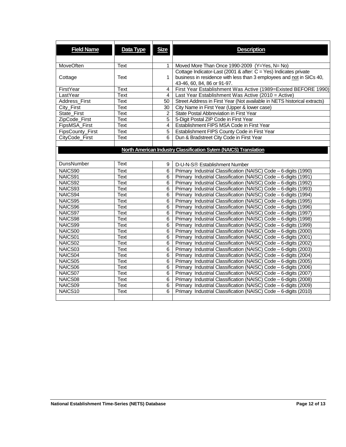| <b>Field Name</b> | Data Type   | <b>Size</b>    | <b>Description</b>                                                       |
|-------------------|-------------|----------------|--------------------------------------------------------------------------|
|                   |             |                |                                                                          |
| <b>MoveOften</b>  | Text        | 1              | Moved More Than Once 1990-2009 (Y=Yes, N= No)                            |
|                   |             |                | Cottage Indicator-Last (2001 & after: C = Yes) Indicates private         |
| Cottage           | Text        | 1.             | business in residence with less than 3 employees and not in SICs 40,     |
|                   |             |                | 43-46, 60, 84, 86 or 91-97.                                              |
| FirstYear         | <b>Text</b> | 4              | First Year Establishment Was Active (1989=Existed BEFORE 1990)           |
| LastYear          | <b>Text</b> | 4              | Last Year Establishment Was Active (2010 = Active)                       |
| Address First     | Text        | 50             | Street Address in First Year (Not available in NETS historical extracts) |
| City_First        | Text        | 30 I           | City Name in First Year (Upper & lower case)                             |
| State_First       | Text        | $\overline{2}$ | State Postal Abbreviation in First Year                                  |
| ZipCode_First     | Text        | 5              | 5-Digit Postal ZIP Code in First Year                                    |
| FipsMSA_First     | Text        | $\overline{4}$ | Establishment FIPS MSA Code in First Year                                |
| FipsCounty_First  | Text        | $\overline{5}$ | Establishment FIPS County Code in First Year                             |
| CityCode_First    | Text        | 6              | Dun & Bradstreet City Code in First Year                                 |
|                   |             |                |                                                                          |
|                   |             |                | North American Industry Classification Sytem (NAICS) Translation         |
|                   |             |                |                                                                          |
| DunsNumber        | Text        | 9              | D-U-N-S® Establishment Number                                            |
| NAICS90           | Text        | 6              | Primary Industrial Classification (NAISC) Code - 6-digits (1990)         |
| NAICS91           | <b>Text</b> | 6              | Primary Industrial Classification (NAISC) Code - 6-digits (1991)         |
| NAICS92           | Text        | 6              | Primary Industrial Classification (NAISC) Code - 6-digits (1992)         |
| NAICS93           | Text        | 6              | Primary Industrial Classification (NAISC) Code - 6-digits (1993)         |
| NAICS94           | Text        | 6              | Primary Industrial Classification (NAISC) Code - 6-digits (1994)         |
| NAICS95           | Text        | 6              | Primary Industrial Classification (NAISC) Code - 6-digits (1995)         |
| NAICS96           | Text        | 6              | Primary Industrial Classification (NAISC) Code - 6-digits (1996)         |
| NAICS97           | Text        | 6              | Primary Industrial Classification (NAISC) Code - 6-digits (1997)         |
| NAICS98           | Text        | 6              | Primary Industrial Classification (NAISC) Code - 6-digits (1998)         |
| NAICS99           | Text        | 6              | Primary Industrial Classification (NAISC) Code - 6-digits (1999)         |
| NAICS00           | Text        | 6              | Primary Industrial Classification (NAISC) Code - 6-digits (2000)         |
| NAICS01           | Text        | 6              | Primary Industrial Classification (NAISC) Code - 6-digits (2001)         |
| NAICS02           | Text        | 6              | Primary Industrial Classification (NAISC) Code - 6-digits (2002)         |
| NAICS03           | Text        | 6              | Primary Industrial Classification (NAISC) Code - 6-digits (2003)         |
| NAICS04           | Text        | 6              | Primary Industrial Classification (NAISC) Code - 6-digits (2004)         |
| NAICS05           | Text        | 6              | Primary Industrial Classification (NAISC) Code - 6-digits (2005)         |
| NAICS06           | Text        | 6              | Primary Industrial Classification (NAISC) Code - 6-digits (2006)         |
| NAICS07           | Text        | 6              | Primary Industrial Classification (NAISC) Code - 6-digits (2007)         |
| NAICS08           | Text        | 6              | Primary Industrial Classification (NAISC) Code - 6-digits (2008)         |
| NAICS09           | Text        | 6              | Primary Industrial Classification (NAISC) Code - 6-digits (2009)         |
| NAICS10           | Text        | 6              | Primary Industrial Classification (NAISC) Code - 6-digits (2010)         |
|                   |             |                |                                                                          |